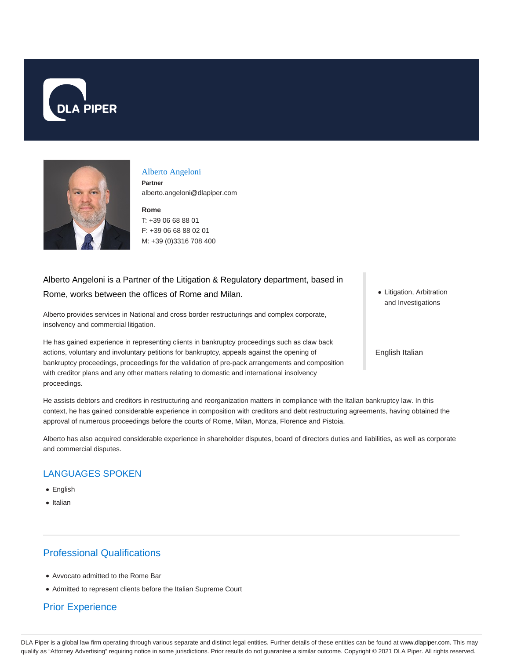



#### Alberto Angeloni

**Partner** alberto.angeloni@dlapiper.com

### **Rome** T: +39 06 68 88 01 F: +39 06 68 88 02 01 M: +39 (0)3316 708 400

# Alberto Angeloni is a Partner of the Litigation & Regulatory department, based in Rome, works between the offices of Rome and Milan.

Alberto provides services in National and cross border restructurings and complex corporate, insolvency and commercial litigation.

He has gained experience in representing clients in bankruptcy proceedings such as claw back actions, voluntary and involuntary petitions for bankruptcy, appeals against the opening of bankruptcy proceedings, proceedings for the validation of pre-pack arrangements and composition with creditor plans and any other matters relating to domestic and international insolvency proceedings.

• Litigation, Arbitration and Investigations

English Italian

He assists debtors and creditors in restructuring and reorganization matters in compliance with the Italian bankruptcy law. In this context, he has gained considerable experience in composition with creditors and debt restructuring agreements, having obtained the approval of numerous proceedings before the courts of Rome, Milan, Monza, Florence and Pistoia.

Alberto has also acquired considerable experience in shareholder disputes, board of directors duties and liabilities, as well as corporate and commercial disputes.

## LANGUAGES SPOKEN

- English
- Italian

# Professional Qualifications

- Avvocato admitted to the Rome Bar
- Admitted to represent clients before the Italian Supreme Court

### Prior Experience

DLA Piper is a global law firm operating through various separate and distinct legal entities. Further details of these entities can be found at www.dlapiper.com. This may qualify as "Attorney Advertising" requiring notice in some jurisdictions. Prior results do not guarantee a similar outcome. Copyright @ 2021 DLA Piper. All rights reserved.